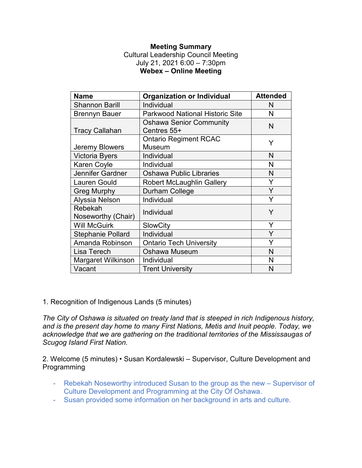#### **Meeting Summary**

Cultural Leadership Council Meeting July 21, 2021 6:00 – 7:30pm **Webex – Online Meeting** 

| <b>Name</b>                   | <b>Organization or Individual</b>             | <b>Attended</b> |
|-------------------------------|-----------------------------------------------|-----------------|
| <b>Shannon Barill</b>         | Individual                                    | N               |
| <b>Brennyn Bauer</b>          | <b>Parkwood National Historic Site</b>        | N               |
| <b>Tracy Callahan</b>         | <b>Oshawa Senior Community</b><br>Centres 55+ | N               |
| <b>Jeremy Blowers</b>         | <b>Ontario Regiment RCAC</b><br><b>Museum</b> | Y               |
| <b>Victoria Byers</b>         | Individual                                    | N               |
| Karen Coyle                   | Individual                                    | N               |
| Jennifer Gardner              | <b>Oshawa Public Libraries</b>                | N               |
| <b>Lauren Gould</b>           | Robert McLaughlin Gallery                     | Y               |
| <b>Greg Murphy</b>            | Durham College                                | Y               |
| Alyssia Nelson                | Individual                                    | Y               |
| Rebekah<br>Noseworthy (Chair) | Individual                                    | Y               |
| <b>Will McGuirk</b>           | <b>SlowCity</b>                               | Y               |
| <b>Stephanie Pollard</b>      | Individual                                    | Y               |
| Amanda Robinson               | <b>Ontario Tech University</b>                | Y               |
| Lisa Terech                   | Oshawa Museum                                 | N               |
| Margaret Wilkinson            | Individual                                    | N               |
| Vacant                        | <b>Trent University</b>                       | N               |

1. Recognition of Indigenous Lands (5 minutes)

*The City of Oshawa is situated on treaty land that is steeped in rich Indigenous history, and is the present day home to many First Nations, Metis and Inuit people. Today, we acknowledge that we are gathering on the traditional territories of the Mississaugas of Scugog Island First Nation.* 

2. Welcome (5 minutes) • Susan Kordalewski – Supervisor, Culture Development and Programming

- Rebekah Noseworthy introduced Susan to the group as the new Supervisor of Culture Development and Programming at the City Of Oshawa.
- Susan provided some information on her background in arts and culture.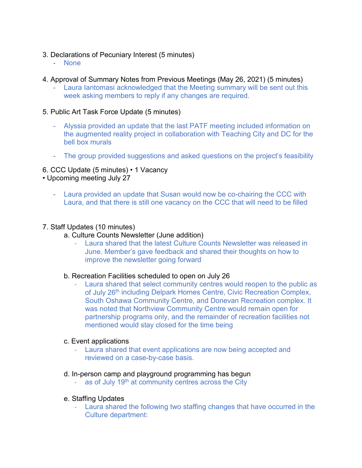- 3. Declarations of Pecuniary Interest (5 minutes)
	- None
- 4. Approval of Summary Notes from Previous Meetings (May 26, 2021) (5 minutes)
	- Laura Iantomasi acknowledged that the Meeting summary will be sent out this week asking members to reply if any changes are required.

### 5. Public Art Task Force Update (5 minutes)

- Alyssia provided an update that the last PATF meeting included information on the augmented reality project in collaboration with Teaching City and DC for the bell box murals
- The group provided suggestions and asked questions on the project's feasibility

## 6. CCC Update (5 minutes) • 1 Vacancy

• Upcoming meeting July 27

- Laura provided an update that Susan would now be co-chairing the CCC with Laura, and that there is still one vacancy on the CCC that will need to be filled

### 7. Staff Updates (10 minutes)

- a. Culture Counts Newsletter (June addition)
	- Laura shared that the latest Culture Counts Newsletter was released in June. Member's gave feedback and shared their thoughts on how to improve the newsletter going forward

### b. Recreation Facilities scheduled to open on July 26

Laura shared that select community centres would reopen to the public as of July 26<sup>th</sup> including Delpark Homes Centre, Civic Recreation Complex, South Oshawa Community Centre, and Donevan Recreation complex. It was noted that Northview Community Centre would remain open for partnership programs only, and the remainder of recreation facilities not mentioned would stay closed for the time being

### c. Event applications

Laura shared that event applications are now being accepted and reviewed on a case-by-case basis.

### d. In-person camp and playground programming has begun

as of July 19<sup>th</sup> at community centres across the City

### e. Staffing Updates

- Laura shared the following two staffing changes that have occurred in the Culture department: